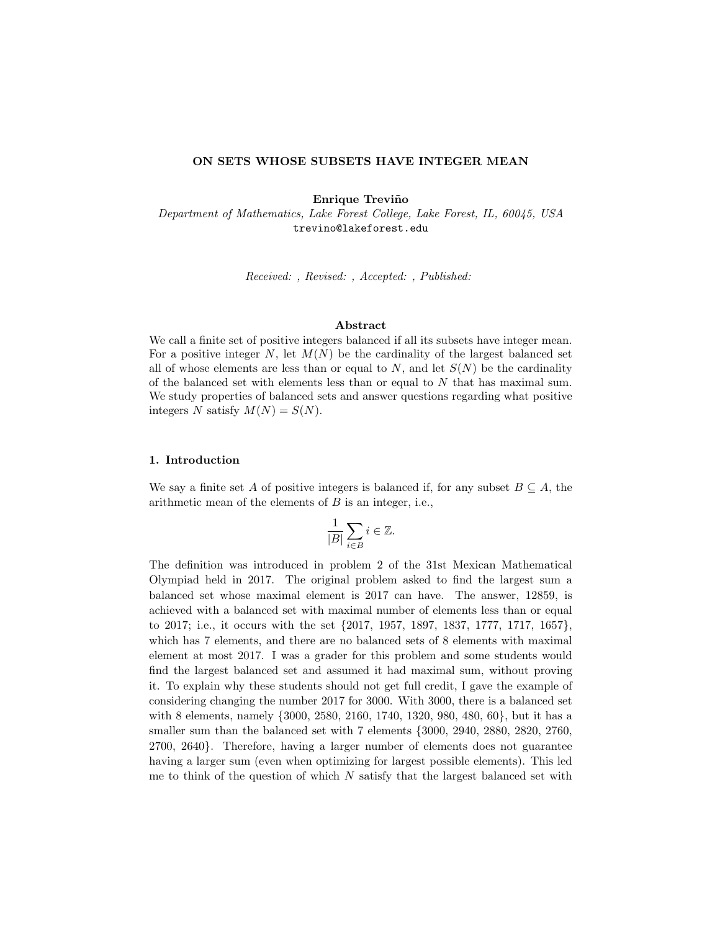# ON SETS WHOSE SUBSETS HAVE INTEGER MEAN

Enrique Treviño

Department of Mathematics, Lake Forest College, Lake Forest, IL, 60045, USA trevino@lakeforest.edu

Received: , Revised: , Accepted: , Published:

#### Abstract

We call a finite set of positive integers balanced if all its subsets have integer mean. For a positive integer  $N$ , let  $M(N)$  be the cardinality of the largest balanced set all of whose elements are less than or equal to  $N$ , and let  $S(N)$  be the cardinality of the balanced set with elements less than or equal to  $N$  that has maximal sum. We study properties of balanced sets and answer questions regarding what positive integers N satisfy  $M(N) = S(N)$ .

### 1. Introduction

We say a finite set A of positive integers is balanced if, for any subset  $B \subseteq A$ , the arithmetic mean of the elements of  $B$  is an integer, i.e.,

$$
\frac{1}{|B|} \sum_{i \in B} i \in \mathbb{Z}.
$$

The definition was introduced in problem 2 of the 31st Mexican Mathematical Olympiad held in 2017. The original problem asked to find the largest sum a balanced set whose maximal element is 2017 can have. The answer, 12859, is achieved with a balanced set with maximal number of elements less than or equal to 2017; i.e., it occurs with the set {2017, 1957, 1897, 1837, 1777, 1717, 1657}, which has 7 elements, and there are no balanced sets of 8 elements with maximal element at most 2017. I was a grader for this problem and some students would find the largest balanced set and assumed it had maximal sum, without proving it. To explain why these students should not get full credit, I gave the example of considering changing the number 2017 for 3000. With 3000, there is a balanced set with 8 elements, namely {3000, 2580, 2160, 1740, 1320, 980, 480, 60}, but it has a smaller sum than the balanced set with 7 elements {3000, 2940, 2880, 2820, 2760, 2700, 2640}. Therefore, having a larger number of elements does not guarantee having a larger sum (even when optimizing for largest possible elements). This led me to think of the question of which  $N$  satisfy that the largest balanced set with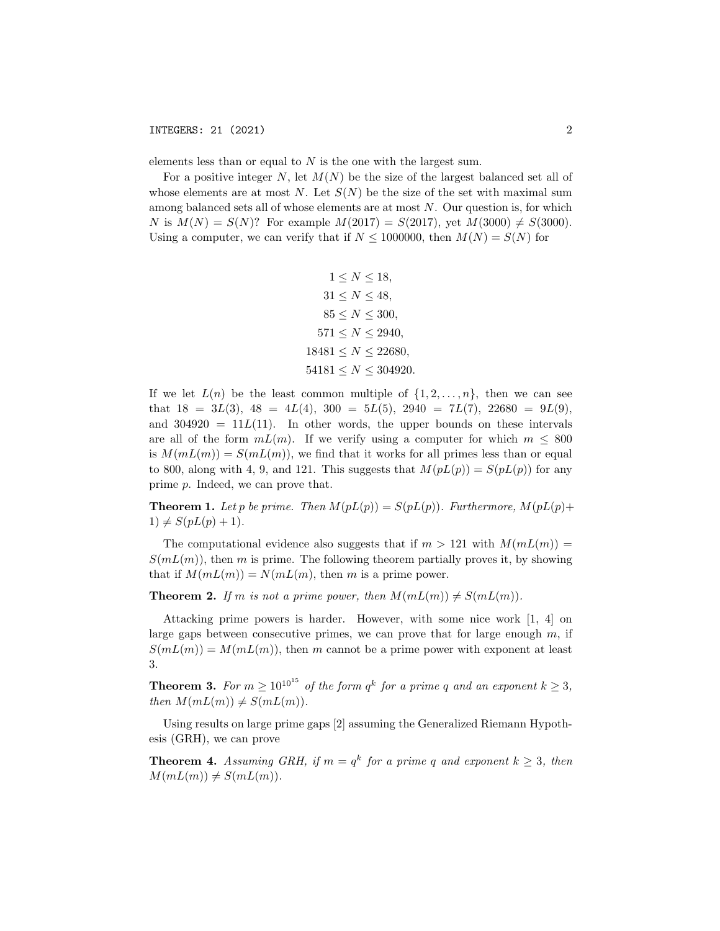elements less than or equal to  $N$  is the one with the largest sum.

For a positive integer N, let  $M(N)$  be the size of the largest balanced set all of whose elements are at most N. Let  $S(N)$  be the size of the set with maximal sum among balanced sets all of whose elements are at most  $N$ . Our question is, for which N is  $M(N) = S(N)$ ? For example  $M(2017) = S(2017)$ , yet  $M(3000) \neq S(3000)$ . Using a computer, we can verify that if  $N \le 1000000$ , then  $M(N) = S(N)$  for

$$
1 \le N \le 18,
$$
  
\n
$$
31 \le N \le 48,
$$
  
\n
$$
85 \le N \le 300,
$$
  
\n
$$
571 \le N \le 2940,
$$
  
\n
$$
18481 \le N \le 22680,
$$
  
\n
$$
54181 \le N \le 304920.
$$

If we let  $L(n)$  be the least common multiple of  $\{1, 2, \ldots, n\}$ , then we can see that  $18 = 3L(3)$ ,  $48 = 4L(4)$ ,  $300 = 5L(5)$ ,  $2940 = 7L(7)$ ,  $22680 = 9L(9)$ , and  $304920 = 11L(11)$ . In other words, the upper bounds on these intervals are all of the form  $mL(m)$ . If we verify using a computer for which  $m \leq 800$ is  $M(mL(m)) = S(mL(m))$ , we find that it works for all primes less than or equal to 800, along with 4, 9, and 121. This suggests that  $M(pL(p)) = S(pL(p))$  for any prime p. Indeed, we can prove that.

**Theorem 1.** Let p be prime. Then  $M(pL(p)) = S(pL(p))$ . Furthermore,  $M(pL(p))$ +  $1) \neq S(pL(p) + 1).$ 

The computational evidence also suggests that if  $m > 121$  with  $M(mL(m)) =$  $S(mL(m))$ , then m is prime. The following theorem partially proves it, by showing that if  $M(mL(m)) = N(mL(m))$ , then m is a prime power.

**Theorem 2.** If m is not a prime power, then  $M(mL(m)) \neq S(mL(m))$ .

Attacking prime powers is harder. However, with some nice work [1, 4] on large gaps between consecutive primes, we can prove that for large enough  $m$ , if  $S(mL(m)) = M(mL(m))$ , then m cannot be a prime power with exponent at least 3.

**Theorem 3.** For  $m \ge 10^{10^{15}}$  of the form  $q^k$  for a prime q and an exponent  $k \ge 3$ , then  $M(mL(m)) \neq S(mL(m))$ .

Using results on large prime gaps [2] assuming the Generalized Riemann Hypothesis (GRH), we can prove

**Theorem 4.** Assuming GRH, if  $m = q^k$  for a prime q and exponent  $k \geq 3$ , then  $M(mL(m)) \neq S(mL(m)).$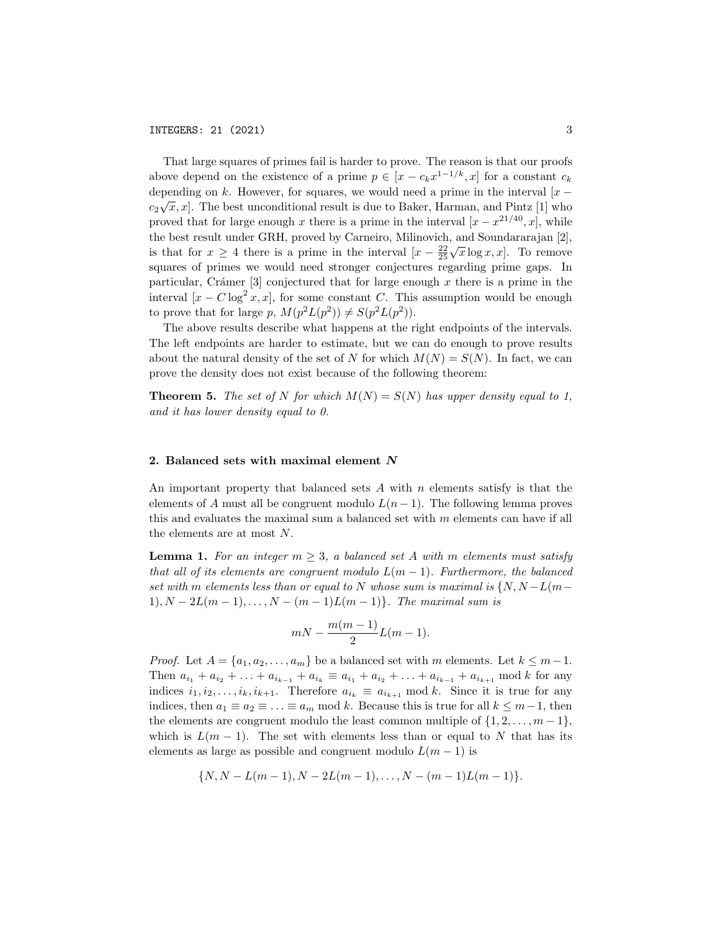That large squares of primes fail is harder to prove. The reason is that our proofs above depend on the existence of a prime  $p \in [x - c_k x^{1-1/k}, x]$  for a constant  $c_k$ depending on k. However, for squares, we would need a prime in the interval  $[x - \overline{y}]$  $c_2\sqrt{x}, x$ . The best unconditional result is due to Baker, Harman, and Pintz [1] who proved that for large enough x there is a prime in the interval  $[x - x^{21/40}, x]$ , while the best result under GRH, proved by Carneiro, Milinovich, and Soundararajan [2], is that for  $x \geq 4$  there is a prime in the interval  $[x - \frac{22}{25}\sqrt{x} \log x, x]$ . To remove squares of primes we would need stronger conjectures regarding prime gaps. In particular, Crámer  $[3]$  conjectured that for large enough x there is a prime in the interval  $[x - C \log^2 x, x]$ , for some constant C. This assumption would be enough to prove that for large p,  $M(p^2L(p^2)) \neq S(p^2L(p^2))$ .

The above results describe what happens at the right endpoints of the intervals. The left endpoints are harder to estimate, but we can do enough to prove results about the natural density of the set of N for which  $M(N) = S(N)$ . In fact, we can prove the density does not exist because of the following theorem:

**Theorem 5.** The set of N for which  $M(N) = S(N)$  has upper density equal to 1, and it has lower density equal to 0.

#### 2. Balanced sets with maximal element N

An important property that balanced sets  $A$  with  $n$  elements satisfy is that the elements of A must all be congruent modulo  $L(n-1)$ . The following lemma proves this and evaluates the maximal sum a balanced set with  $m$  elements can have if all the elements are at most N.

**Lemma 1.** For an integer  $m \geq 3$ , a balanced set A with m elements must satisfy that all of its elements are congruent modulo  $L(m-1)$ . Furthermore, the balanced set with m elements less than or equal to N whose sum is maximal is  $\{N, N-L(m-\mu)\}$ 1),  $N - 2L(m - 1), \ldots, N - (m - 1)L(m - 1)$ . The maximal sum is

$$
mN-\frac{m(m-1)}{2}L(m-1).
$$

*Proof.* Let  $A = \{a_1, a_2, \ldots, a_m\}$  be a balanced set with m elements. Let  $k \leq m-1$ . Then  $a_{i_1} + a_{i_2} + \ldots + a_{i_{k-1}} + a_{i_k} \equiv a_{i_1} + a_{i_2} + \ldots + a_{i_{k-1}} + a_{i_{k+1}} \mod k$  for any indices  $i_1, i_2, \ldots, i_k, i_{k+1}$ . Therefore  $a_{i_k} \equiv a_{i_{k+1}} \mod k$ . Since it is true for any indices, then  $a_1 \equiv a_2 \equiv \ldots \equiv a_m \mod k$ . Because this is true for all  $k \leq m-1$ , then the elements are congruent modulo the least common multiple of  $\{1, 2, \ldots, m-1\}$ , which is  $L(m-1)$ . The set with elements less than or equal to N that has its elements as large as possible and congruent modulo  $L(m-1)$  is

$$
{N, N - L(m-1), N - 2L(m-1), \ldots, N - (m-1)L(m-1)}.
$$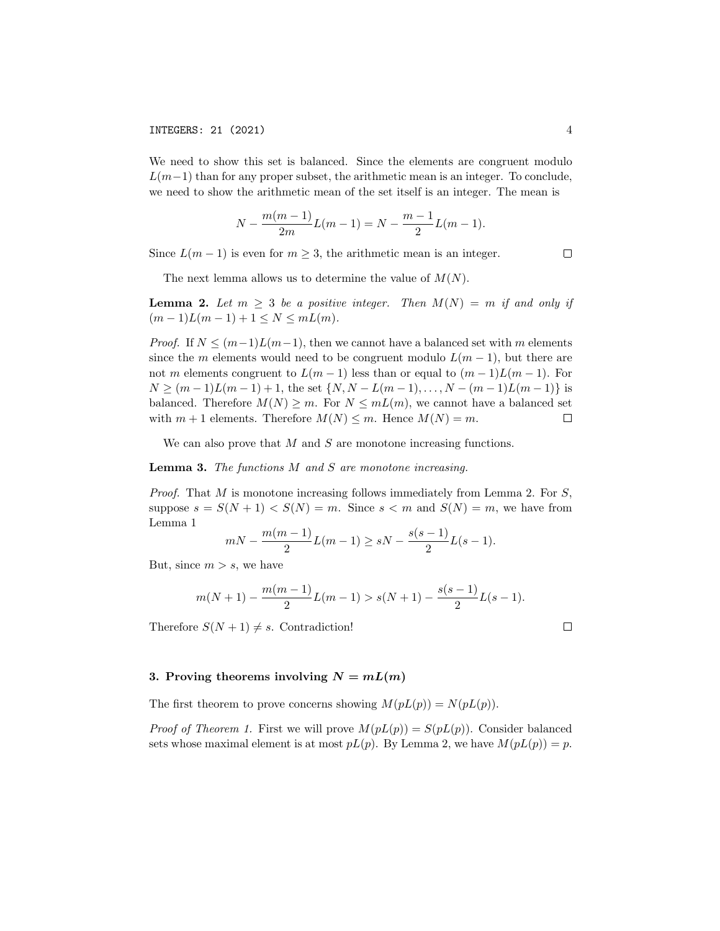We need to show this set is balanced. Since the elements are congruent modulo  $L(m-1)$  than for any proper subset, the arithmetic mean is an integer. To conclude, we need to show the arithmetic mean of the set itself is an integer. The mean is

$$
N - \frac{m(m-1)}{2m}L(m-1) = N - \frac{m-1}{2}L(m-1).
$$

Since  $L(m-1)$  is even for  $m \geq 3$ , the arithmetic mean is an integer.

 $\Box$ 

The next lemma allows us to determine the value of  $M(N)$ .

**Lemma 2.** Let  $m \geq 3$  be a positive integer. Then  $M(N) = m$  if and only if  $(m-1)L(m-1)+1 \leq N \leq mL(m).$ 

*Proof.* If  $N \leq (m-1)L(m-1)$ , then we cannot have a balanced set with m elements since the m elements would need to be congruent modulo  $L(m-1)$ , but there are not m elements congruent to  $L(m-1)$  less than or equal to  $(m-1)L(m-1)$ . For  $N \geq (m-1)L(m-1)+1$ , the set  $\{N, N-L(m-1), \ldots, N-(m-1)L(m-1)\}$  is balanced. Therefore  $M(N) \geq m$ . For  $N \leq mL(m)$ , we cannot have a balanced set with  $m + 1$  elements. Therefore  $M(N) \leq m$ . Hence  $M(N) = m$ .  $\Box$ 

We can also prove that  $M$  and  $S$  are monotone increasing functions.

**Lemma 3.** The functions  $M$  and  $S$  are monotone increasing.

*Proof.* That M is monotone increasing follows immediately from Lemma 2. For  $S$ , suppose  $s = S(N + 1) < S(N) = m$ . Since  $s < m$  and  $S(N) = m$ , we have from Lemma 1

$$
mN - \frac{m(m-1)}{2}L(m-1) \ge sN - \frac{s(s-1)}{2}L(s-1).
$$

But, since  $m > s$ , we have

$$
m(N+1) - \frac{m(m-1)}{2}L(m-1) > s(N+1) - \frac{s(s-1)}{2}L(s-1).
$$

Therefore  $S(N + 1) \neq s$ . Contradiction!

3. Proving theorems involving 
$$
N = mL(m)
$$

The first theorem to prove concerns showing  $M(pL(p)) = N(pL(p)).$ 

*Proof of Theorem 1.* First we will prove  $M(pL(p)) = S(pL(p))$ . Consider balanced sets whose maximal element is at most  $pL(p)$ . By Lemma 2, we have  $M(pL(p)) = p$ .

 $\Box$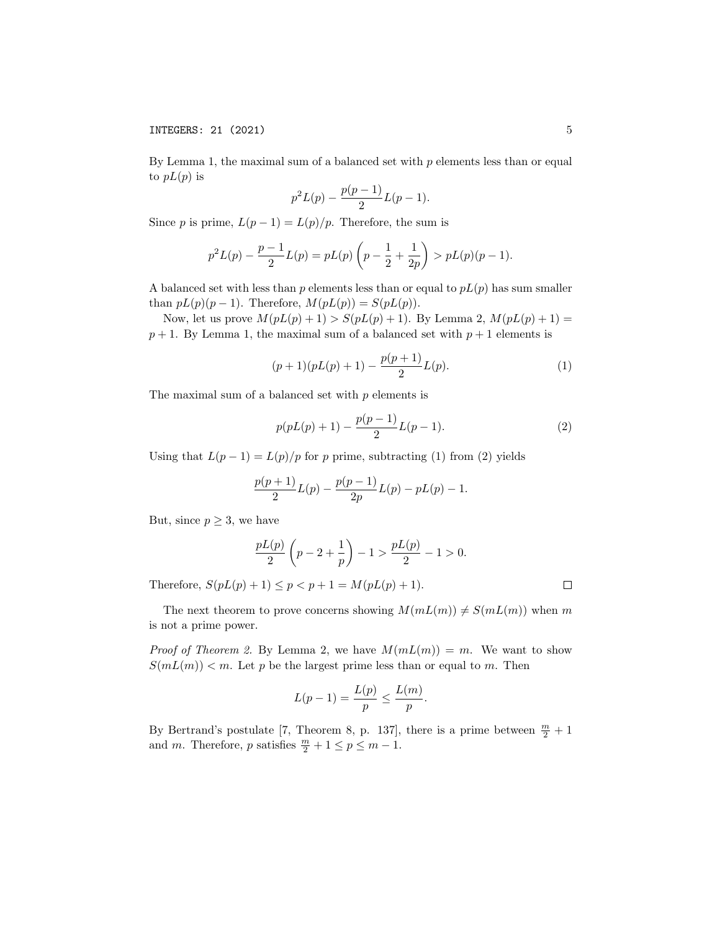By Lemma 1, the maximal sum of a balanced set with  $p$  elements less than or equal to  $pL(p)$  is

$$
p^2L(p) - \frac{p(p-1)}{2}L(p-1).
$$

Since p is prime,  $L(p-1) = L(p)/p$ . Therefore, the sum is

$$
p^{2}L(p) - \frac{p-1}{2}L(p) = pL(p)\left(p - \frac{1}{2} + \frac{1}{2p}\right) > pL(p)(p-1).
$$

A balanced set with less than p elements less than or equal to  $pL(p)$  has sum smaller than  $pL(p)(p-1)$ . Therefore,  $M(pL(p)) = S(pL(p))$ .

Now, let us prove  $M(pL(p) + 1) > S(pL(p) + 1)$ . By Lemma 2,  $M(pL(p) + 1) =$  $p + 1$ . By Lemma 1, the maximal sum of a balanced set with  $p + 1$  elements is

$$
(p+1)(pL(p) + 1) - \frac{p(p+1)}{2}L(p).
$$
 (1)

The maximal sum of a balanced set with  $p$  elements is

$$
p(pL(p) + 1) - \frac{p(p-1)}{2}L(p-1).
$$
 (2)

Using that  $L(p-1) = L(p)/p$  for p prime, subtracting (1) from (2) yields

$$
\frac{p(p+1)}{2}L(p) - \frac{p(p-1)}{2p}L(p) - pL(p) - 1.
$$

But, since  $p \geq 3$ , we have

$$
\frac{pL(p)}{2}\left(p-2+\frac{1}{p}\right)-1 > \frac{pL(p)}{2}-1 > 0.
$$

Therefore,  $S(pL(p) + 1) \le p < p + 1 = M(pL(p) + 1)$ .

The next theorem to prove concerns showing  $M(mL(m)) \neq S(mL(m))$  when m is not a prime power.

*Proof of Theorem 2.* By Lemma 2, we have  $M(mL(m)) = m$ . We want to show  $S(mL(m)) < m$ . Let p be the largest prime less than or equal to m. Then

$$
L(p-1) = \frac{L(p)}{p} \le \frac{L(m)}{p}.
$$

By Bertrand's postulate [7, Theorem 8, p. 137], there is a prime between  $\frac{m}{2} + 1$ and m. Therefore, p satisfies  $\frac{m}{2} + 1 \le p \le m - 1$ .

 $\Box$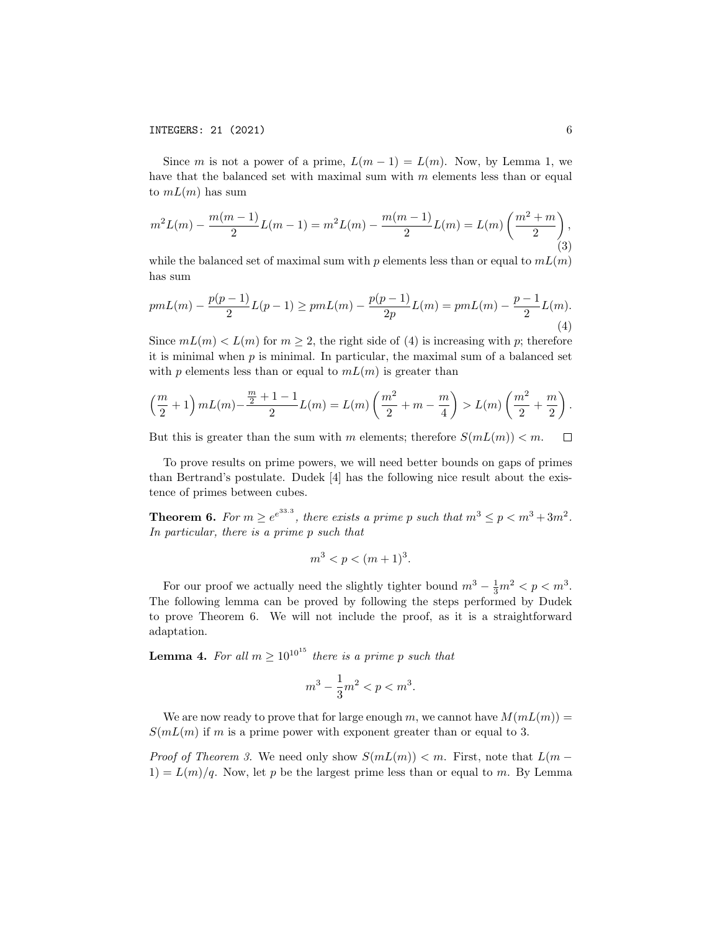Since m is not a power of a prime,  $L(m-1) = L(m)$ . Now, by Lemma 1, we have that the balanced set with maximal sum with  $m$  elements less than or equal to  $mL(m)$  has sum

$$
m^{2}L(m) - \frac{m(m-1)}{2}L(m-1) = m^{2}L(m) - \frac{m(m-1)}{2}L(m) = L(m)\left(\frac{m^{2}+m}{2}\right),\tag{3}
$$

while the balanced set of maximal sum with  $p$  elements less than or equal to  $mL(m)$ has sum

$$
pmL(m) - \frac{p(p-1)}{2}L(p-1) \geq pmL(m) - \frac{p(p-1)}{2p}L(m) = pmL(m) - \frac{p-1}{2}L(m).
$$
\n(4)

Since  $mL(m) < L(m)$  for  $m \geq 2$ , the right side of (4) is increasing with p; therefore it is minimal when  $p$  is minimal. In particular, the maximal sum of a balanced set with p elements less than or equal to  $mL(m)$  is greater than

$$
\left(\frac{m}{2}+1\right) mL(m) - \frac{\frac{m}{2}+1-1}{2}L(m) = L(m)\left(\frac{m^2}{2}+m-\frac{m}{4}\right) > L(m)\left(\frac{m^2}{2}+\frac{m}{2}\right).
$$

But this is greater than the sum with m elements; therefore  $S(mL(m)) < m$ .  $\Box$ 

To prove results on prime powers, we will need better bounds on gaps of primes than Bertrand's postulate. Dudek [4] has the following nice result about the existence of primes between cubes.

**Theorem 6.** For  $m \ge e^{e^{33.3}}$ , there exists a prime p such that  $m^3 \le p < m^3 + 3m^2$ . In particular, there is a prime p such that

$$
m^3 < p < (m+1)^3.
$$

For our proof we actually need the slightly tighter bound  $m^3 - \frac{1}{3}m^2 < p < m^3$ . The following lemma can be proved by following the steps performed by Dudek to prove Theorem 6. We will not include the proof, as it is a straightforward adaptation.

**Lemma 4.** For all  $m \geq 10^{10^{15}}$  there is a prime p such that

$$
m^3 - \frac{1}{3}m^2 < p < m^3.
$$

We are now ready to prove that for large enough m, we cannot have  $M(mL(m)) =$  $S(mL(m))$  if m is a prime power with exponent greater than or equal to 3.

*Proof of Theorem 3.* We need only show  $S(mL(m)) < m$ . First, note that  $L(m 1) = L(m)/q$ . Now, let p be the largest prime less than or equal to m. By Lemma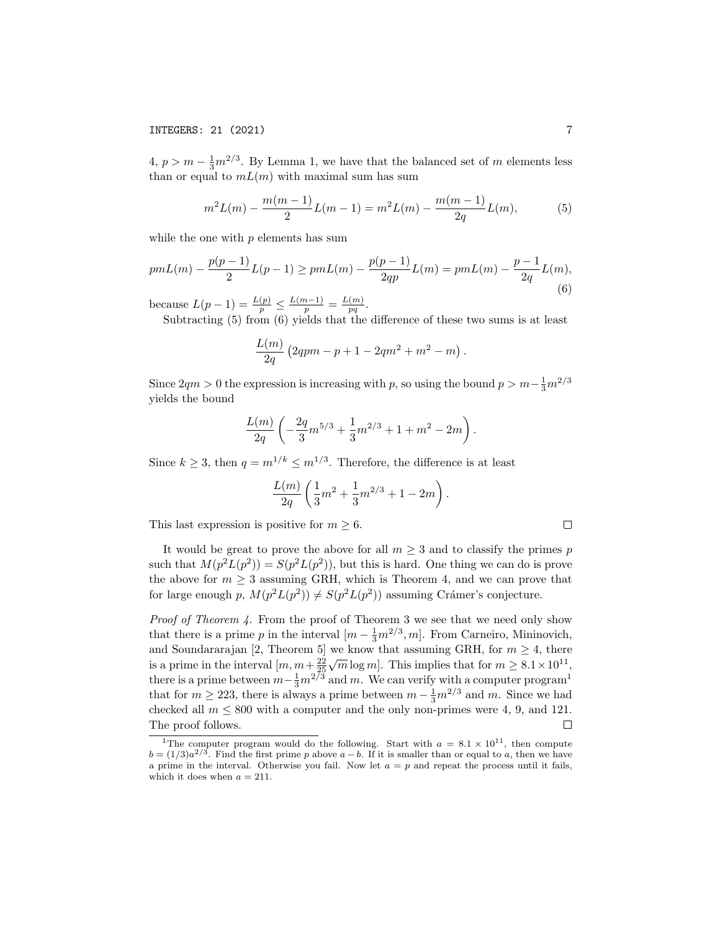$4, p > m - \frac{1}{3}m^{2/3}$ . By Lemma 1, we have that the balanced set of m elements less than or equal to  $mL(m)$  with maximal sum has sum

$$
m^{2}L(m) - \frac{m(m-1)}{2}L(m-1) = m^{2}L(m) - \frac{m(m-1)}{2q}L(m),
$$
 (5)

while the one with  $p$  elements has sum

$$
pmL(m) - \frac{p(p-1)}{2}L(p-1) \geq pmL(m) - \frac{p(p-1)}{2qp}L(m) = pmL(m) - \frac{p-1}{2q}L(m),\tag{6}
$$

because  $L(p-1) = \frac{L(p)}{p} \le \frac{L(m-1)}{p} = \frac{L(m)}{pq}$  $\frac{(m)}{pq}.$ 

Subtracting (5) from (6) yields that the difference of these two sums is at least

$$
\frac{L(m)}{2q} (2qpm - p + 1 - 2qm^2 + m^2 - m).
$$

Since  $2qm > 0$  the expression is increasing with p, so using the bound  $p > m - \frac{1}{3}m^{2/3}$ yields the bound

$$
\frac{L(m)}{2q}\left(-\frac{2q}{3}m^{5/3}+\frac{1}{3}m^{2/3}+1+m^2-2m\right).
$$

Since  $k \geq 3$ , then  $q = m^{1/k} \leq m^{1/3}$ . Therefore, the difference is at least

$$
\frac{L(m)}{2q}\left(\frac{1}{3}m^2+\frac{1}{3}m^{2/3}+1-2m\right).
$$

This last expression is positive for  $m \geq 6$ .

It would be great to prove the above for all  $m \geq 3$  and to classify the primes p such that  $M(p^2L(p^2)) = S(p^2L(p^2))$ , but this is hard. One thing we can do is prove the above for  $m \geq 3$  assuming GRH, which is Theorem 4, and we can prove that for large enough p,  $M(p^2L(p^2)) \neq S(p^2L(p^2))$  assuming Crámer's conjecture.

Proof of Theorem 4. From the proof of Theorem 3 we see that we need only show that there is a prime p in the interval  $[m - \frac{1}{3}m^{2/3}, m]$ . From Carneiro, Mininovich, and Soundararajan [2, Theorem 5] we know that assuming GRH, for  $m \geq 4$ , there  $\sqrt{m} \log m$ . This implies that for  $m \geq 8.1 \times 10^{11}$ , is a prime in the interval  $\left[m, m+\frac{22}{25}\right]$ there is a prime between  $m-\frac{1}{3}m^{2/\overline{3}}$  and m. We can verify with a computer program<sup>1</sup> that for  $m \ge 223$ , there is always a prime between  $m - \frac{1}{3}m^{2/3}$  and m. Since we had checked all  $m \leq 800$  with a computer and the only non-primes were 4, 9, and 121. The proof follows.  $\Box$ 

 $\Box$ 

<sup>&</sup>lt;sup>1</sup>The computer program would do the following. Start with  $a = 8.1 \times 10^{11}$ , then compute  $b = (1/3)a^{2/3}$ . Find the first prime p above  $a - b$ . If it is smaller than or equal to a, then we have a prime in the interval. Otherwise you fail. Now let  $a = p$  and repeat the process until it fails, which it does when  $a = 211$ .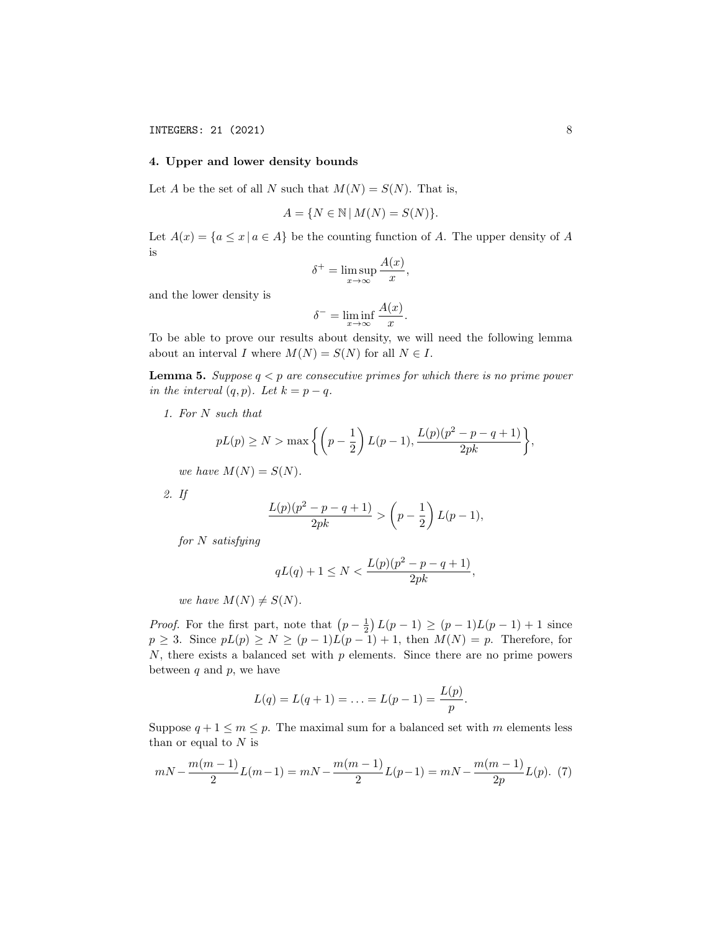## 4. Upper and lower density bounds

Let A be the set of all N such that  $M(N) = S(N)$ . That is,

$$
A = \{ N \in \mathbb{N} \mid M(N) = S(N) \}.
$$

Let  $A(x) = \{a \le x \mid a \in A\}$  be the counting function of A. The upper density of A is

$$
\delta^+ = \limsup_{x \to \infty} \frac{A(x)}{x},
$$

and the lower density is

$$
\delta^- = \liminf_{x \to \infty} \frac{A(x)}{x}.
$$

To be able to prove our results about density, we will need the following lemma about an interval I where  $M(N) = S(N)$  for all  $N \in I$ .

**Lemma 5.** Suppose  $q < p$  are consecutive primes for which there is no prime power in the interval  $(q, p)$ . Let  $k = p - q$ .

1. For N such that

$$
pL(p) \ge N > \max \left\{ \left( p - \frac{1}{2} \right) L(p-1), \frac{L(p)(p^2 - p - q + 1)}{2pk} \right\},\
$$

we have  $M(N) = S(N)$ .

2. If

$$
\frac{L(p)(p^2 - p - q + 1)}{2pk} > (p - \frac{1}{2}) L(p - 1),
$$

for N satisfying

$$
qL(q) + 1 \le N < \frac{L(p)(p^2 - p - q + 1)}{2pk},
$$

we have  $M(N) \neq S(N)$ .

*Proof.* For the first part, note that  $(p - \frac{1}{2}) L(p - 1) \ge (p - 1)L(p - 1) + 1$  since  $p \geq 3$ . Since  $pL(p) \geq N \geq (p-1)L(p-1)+1$ , then  $M(N) = p$ . Therefore, for  $N$ , there exists a balanced set with  $p$  elements. Since there are no prime powers between  $q$  and  $p$ , we have

$$
L(q) = L(q+1) = \ldots = L(p-1) = \frac{L(p)}{p}.
$$

Suppose  $q + 1 \le m \le p$ . The maximal sum for a balanced set with m elements less than or equal to  ${\cal N}$  is

$$
mN - \frac{m(m-1)}{2}L(m-1) = mN - \frac{m(m-1)}{2}L(p-1) = mN - \frac{m(m-1)}{2p}L(p). \tag{7}
$$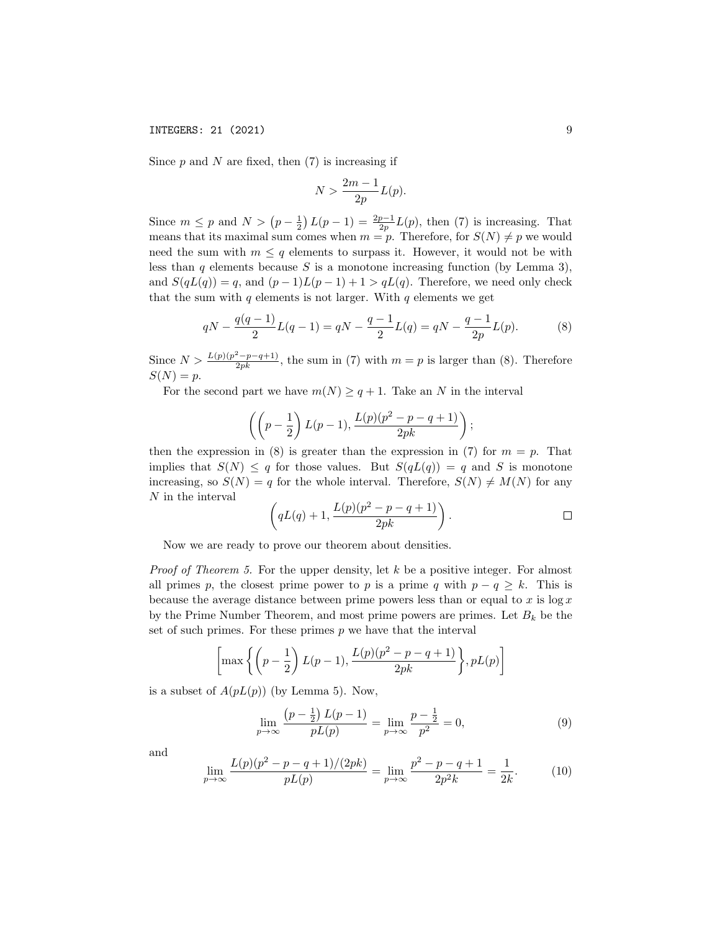Since  $p$  and  $N$  are fixed, then  $(7)$  is increasing if

$$
N > \frac{2m-1}{2p}L(p).
$$

Since  $m \leq p$  and  $N > (p - \frac{1}{2}) L(p - 1) = \frac{2p-1}{2p} L(p)$ , then (7) is increasing. That means that its maximal sum comes when  $m = p$ . Therefore, for  $S(N) \neq p$  we would need the sum with  $m \leq q$  elements to surpass it. However, it would not be with less than q elements because S is a monotone increasing function (by Lemma 3), and  $S(qL(q)) = q$ , and  $(p-1)L(p-1) + 1 > qL(q)$ . Therefore, we need only check that the sum with  $q$  elements is not larger. With  $q$  elements we get

$$
qN - \frac{q(q-1)}{2}L(q-1) = qN - \frac{q-1}{2}L(q) = qN - \frac{q-1}{2p}L(p).
$$
 (8)

Since  $N > \frac{L(p)(p^2-p-q+1)}{2pk}$ , the sum in (7) with  $m = p$  is larger than (8). Therefore  $S(N) = p$ .

For the second part we have  $m(N) \geq q+1$ . Take an N in the interval

$$
\left(\left(p-\frac{1}{2}\right)L(p-1),\frac{L(p)(p^2-p-q+1)}{2pk}\right);
$$

then the expression in (8) is greater than the expression in (7) for  $m = p$ . That implies that  $S(N) \leq q$  for those values. But  $S(qL(q)) = q$  and S is monotone increasing, so  $S(N) = q$  for the whole interval. Therefore,  $S(N) \neq M(N)$  for any N in the interval

$$
\left(qL(q)+1,\frac{L(p)(p^2-p-q+1)}{2pk}\right).
$$

Now we are ready to prove our theorem about densities.

*Proof of Theorem 5.* For the upper density, let k be a positive integer. For almost all primes p, the closest prime power to p is a prime q with  $p - q \geq k$ . This is because the average distance between prime powers less than or equal to  $x$  is  $\log x$ by the Prime Number Theorem, and most prime powers are primes. Let  $B_k$  be the set of such primes. For these primes  $p$  we have that the interval

$$
\left[\max\left\{\left(p-\frac{1}{2}\right)L(p-1),\frac{L(p)(p^2-p-q+1)}{2pk}\right\},pL(p)\right]
$$

is a subset of  $A(pL(p))$  (by Lemma 5). Now,

$$
\lim_{p \to \infty} \frac{\left(p - \frac{1}{2}\right)L(p - 1)}{pL(p)} = \lim_{p \to \infty} \frac{p - \frac{1}{2}}{p^2} = 0,
$$
\n(9)

and

$$
\lim_{p \to \infty} \frac{L(p)(p^2 - p - q + 1)/(2pk)}{pL(p)} = \lim_{p \to \infty} \frac{p^2 - p - q + 1}{2p^2k} = \frac{1}{2k}.
$$
 (10)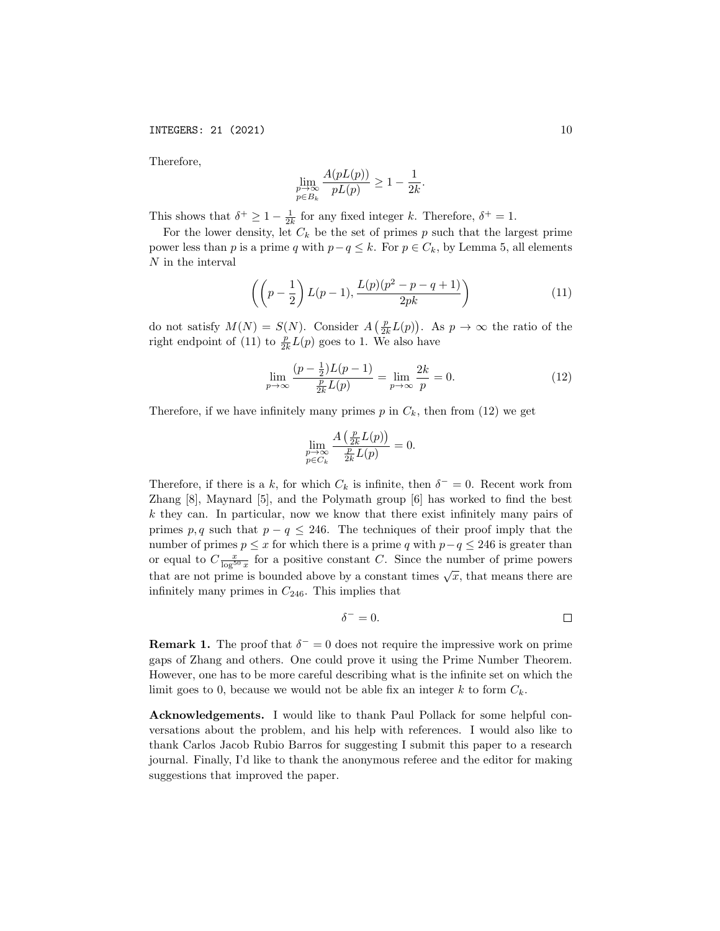Therefore,

$$
\lim_{\substack{p \to \infty \\ p \in B_k}} \frac{A(pL(p))}{pL(p)} \ge 1 - \frac{1}{2k}.
$$

This shows that  $\delta^+ \geq 1 - \frac{1}{2k}$  for any fixed integer k. Therefore,  $\delta^+ = 1$ .

For the lower density, let  $C_k$  be the set of primes p such that the largest prime power less than p is a prime q with  $p-q \leq k$ . For  $p \in C_k$ , by Lemma 5, all elements N in the interval

$$
\left( \left( p - \frac{1}{2} \right) L(p-1), \frac{L(p)(p^2 - p - q + 1)}{2pk} \right) \tag{11}
$$

do not satisfy  $M(N) = S(N)$ . Consider  $A\left(\frac{p}{2k}L(p)\right)$ . As  $p \to \infty$  the ratio of the right endpoint of (11) to  $\frac{p}{2k}L(p)$  goes to 1. We also have

$$
\lim_{p \to \infty} \frac{(p - \frac{1}{2})L(p - 1)}{\frac{p}{2k}L(p)} = \lim_{p \to \infty} \frac{2k}{p} = 0.
$$
\n(12)

Therefore, if we have infinitely many primes  $p$  in  $C_k$ , then from (12) we get

$$
\lim_{\substack{p\to\infty\\ p\in C_k}}\frac{A\left(\frac{p}{2k}L(p)\right)}{\frac{p}{2k}L(p)}=0.
$$

Therefore, if there is a k, for which  $C_k$  is infinite, then  $\delta^- = 0$ . Recent work from Zhang [8], Maynard [5], and the Polymath group [6] has worked to find the best k they can. In particular, now we know that there exist infinitely many pairs of primes p, q such that  $p - q \leq 246$ . The techniques of their proof imply that the number of primes  $p \leq x$  for which there is a prime q with  $p - q \leq 246$  is greater than or equal to  $C_{\frac{x}{\log^{50} x}}$  for a positive constant C. Since the number of prime powers that are not prime is bounded above by a constant times  $\sqrt{x}$ , that means there are infinitely many primes in  $C_{246}$ . This implies that

$$
\delta^-=0.\qquad \qquad \Box
$$

**Remark 1.** The proof that  $\delta^{\dagger} = 0$  does not require the impressive work on prime gaps of Zhang and others. One could prove it using the Prime Number Theorem. However, one has to be more careful describing what is the infinite set on which the limit goes to 0, because we would not be able fix an integer  $k$  to form  $C_k$ .

Acknowledgements. I would like to thank Paul Pollack for some helpful conversations about the problem, and his help with references. I would also like to thank Carlos Jacob Rubio Barros for suggesting I submit this paper to a research journal. Finally, I'd like to thank the anonymous referee and the editor for making suggestions that improved the paper.